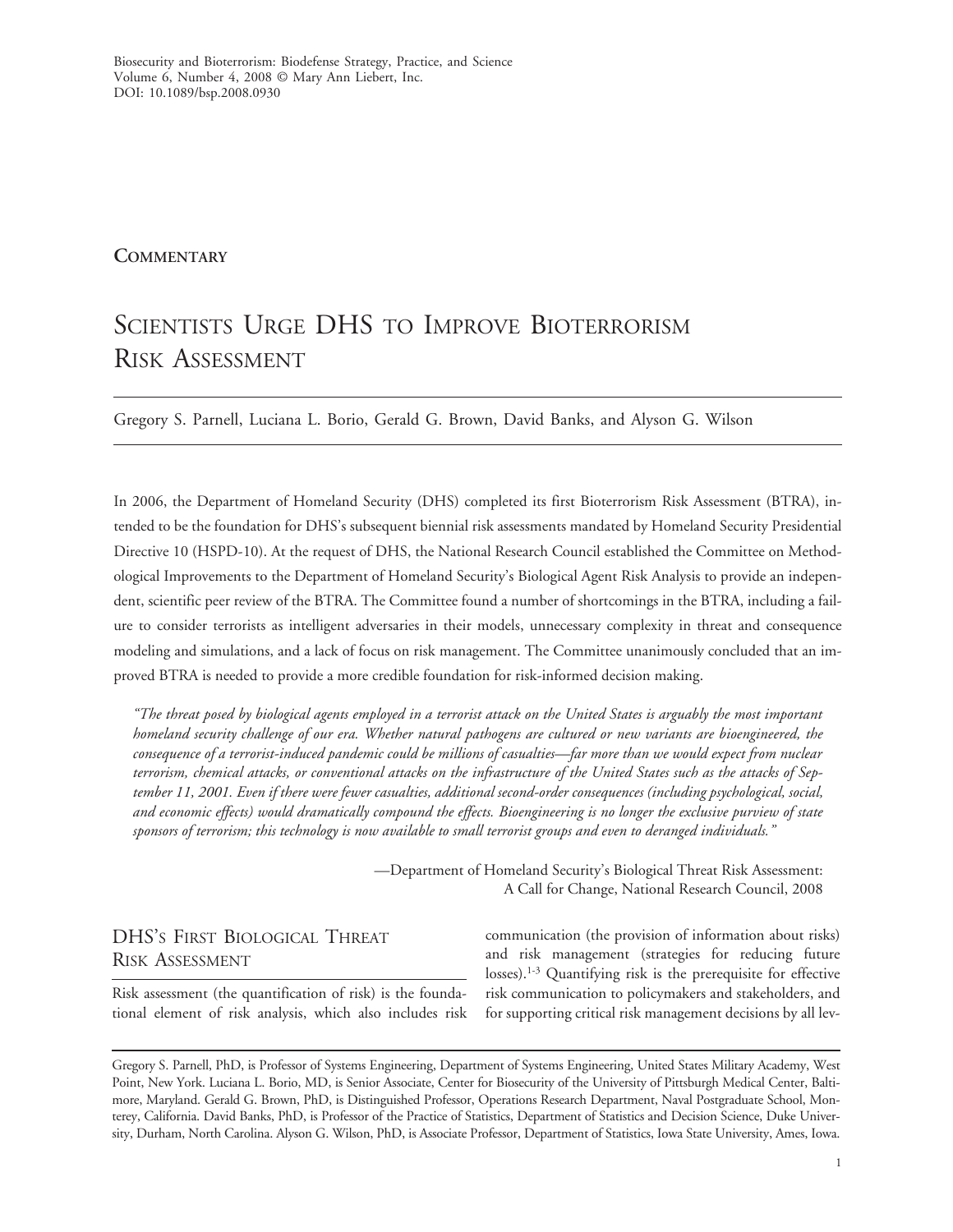### **COMMENTARY**

# SCIENTISTS URGE DHS TO IMPROVE BIOTERRORISM RISK ASSESSMENT

Gregory S. Parnell, Luciana L. Borio, Gerald G. Brown, David Banks, and Alyson G. Wilson

In 2006, the Department of Homeland Security (DHS) completed its first Bioterrorism Risk Assessment (BTRA), intended to be the foundation for DHS's subsequent biennial risk assessments mandated by Homeland Security Presidential Directive 10 (HSPD-10). At the request of DHS, the National Research Council established the Committee on Methodological Improvements to the Department of Homeland Security's Biological Agent Risk Analysis to provide an independent, scientific peer review of the BTRA. The Committee found a number of shortcomings in the BTRA, including a failure to consider terrorists as intelligent adversaries in their models, unnecessary complexity in threat and consequence modeling and simulations, and a lack of focus on risk management. The Committee unanimously concluded that an improved BTRA is needed to provide a more credible foundation for risk-informed decision making.

*"The threat posed by biological agents employed in a terrorist attack on the United States is arguably the most important homeland security challenge of our era. Whether natural pathogens are cultured or new variants are bioengineered, the consequence of a terrorist-induced pandemic could be millions of casualties—far more than we would expect from nuclear terrorism, chemical attacks, or conventional attacks on the infrastructure of the United States such as the attacks of September 11, 2001. Even if there were fewer casualties, additional second-order consequences (including psychological, social, and economic effects) would dramatically compound the effects. Bioengineering is no longer the exclusive purview of state sponsors of terrorism; this technology is now available to small terrorist groups and even to deranged individuals."*

> —Department of Homeland Security's Biological Threat Risk Assessment: A Call for Change, National Research Council, 2008

### DHS'S FIRST BIOLOGICAL THREAT RISK ASSESSMENT

Risk assessment (the quantification of risk) is the foundational element of risk analysis, which also includes risk communication (the provision of information about risks) and risk management (strategies for reducing future losses).1-3 Quantifying risk is the prerequisite for effective risk communication to policymakers and stakeholders, and for supporting critical risk management decisions by all lev-

Gregory S. Parnell, PhD, is Professor of Systems Engineering, Department of Systems Engineering, United States Military Academy, West Point, New York. Luciana L. Borio, MD, is Senior Associate, Center for Biosecurity of the University of Pittsburgh Medical Center, Baltimore, Maryland. Gerald G. Brown, PhD, is Distinguished Professor, Operations Research Department, Naval Postgraduate School, Monterey, California. David Banks, PhD, is Professor of the Practice of Statistics, Department of Statistics and Decision Science, Duke University, Durham, North Carolina. Alyson G. Wilson, PhD, is Associate Professor, Department of Statistics, Iowa State University, Ames, Iowa.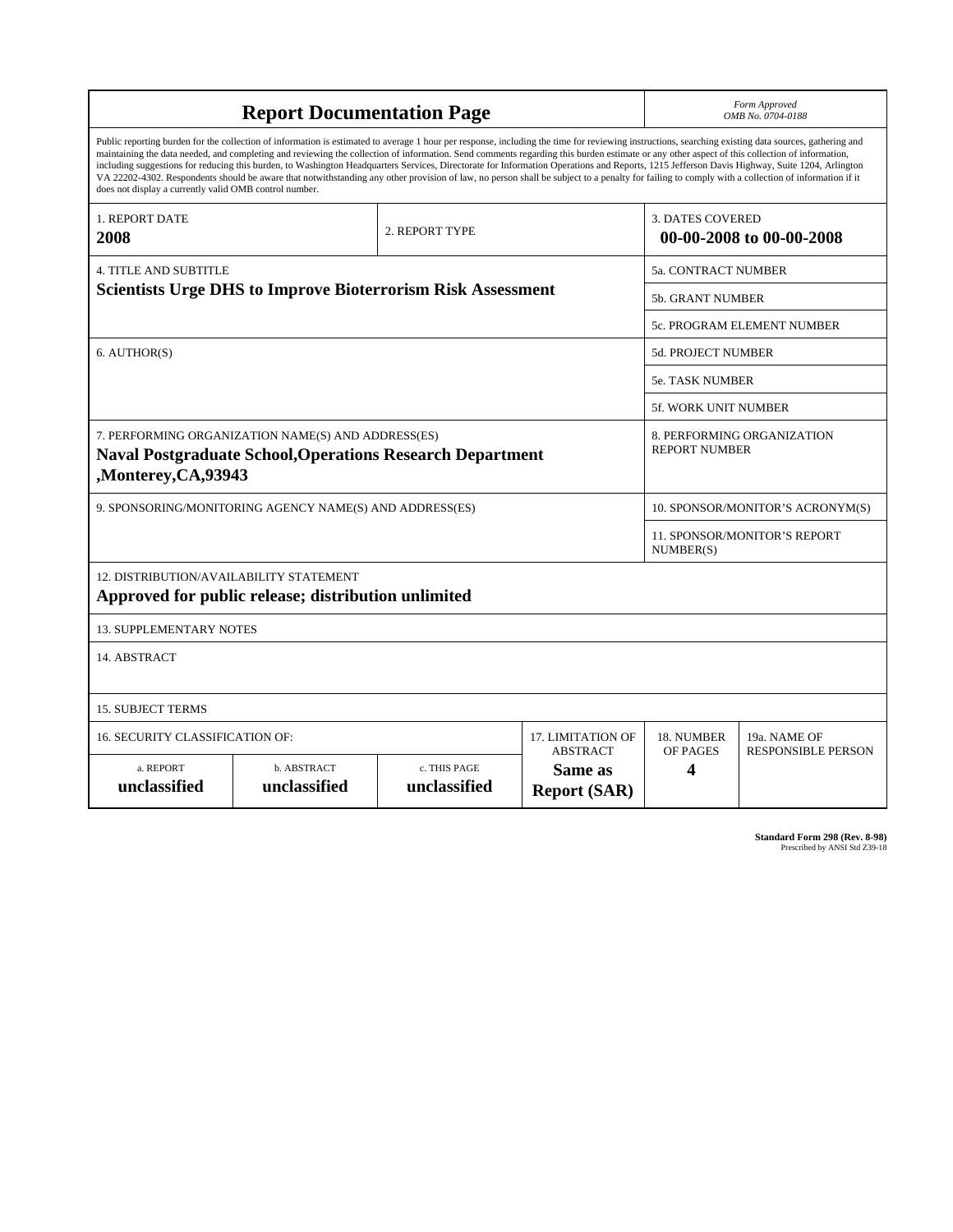| <b>Report Documentation Page</b>                                                                                                                                                                                                                                                                                                                                                                                                                                                                                                                                                                                                                                                                                                                                                                                                                                   |                             |                              |                                                   | Form Approved<br>OMB No. 0704-0188                 |                                                     |  |
|--------------------------------------------------------------------------------------------------------------------------------------------------------------------------------------------------------------------------------------------------------------------------------------------------------------------------------------------------------------------------------------------------------------------------------------------------------------------------------------------------------------------------------------------------------------------------------------------------------------------------------------------------------------------------------------------------------------------------------------------------------------------------------------------------------------------------------------------------------------------|-----------------------------|------------------------------|---------------------------------------------------|----------------------------------------------------|-----------------------------------------------------|--|
| Public reporting burden for the collection of information is estimated to average 1 hour per response, including the time for reviewing instructions, searching existing data sources, gathering and<br>maintaining the data needed, and completing and reviewing the collection of information. Send comments regarding this burden estimate or any other aspect of this collection of information,<br>including suggestions for reducing this burden, to Washington Headquarters Services, Directorate for Information Operations and Reports, 1215 Jefferson Davis Highway, Suite 1204, Arlington<br>VA 22202-4302. Respondents should be aware that notwithstanding any other provision of law, no person shall be subject to a penalty for failing to comply with a collection of information if it<br>does not display a currently valid OMB control number. |                             |                              |                                                   |                                                    |                                                     |  |
| <b>1. REPORT DATE</b><br>2008                                                                                                                                                                                                                                                                                                                                                                                                                                                                                                                                                                                                                                                                                                                                                                                                                                      |                             | 2. REPORT TYPE               |                                                   |                                                    | <b>3. DATES COVERED</b><br>00-00-2008 to 00-00-2008 |  |
| <b>4. TITLE AND SUBTITLE</b>                                                                                                                                                                                                                                                                                                                                                                                                                                                                                                                                                                                                                                                                                                                                                                                                                                       |                             |                              |                                                   | 5a. CONTRACT NUMBER                                |                                                     |  |
| <b>Scientists Urge DHS to Improve Bioterrorism Risk Assessment</b>                                                                                                                                                                                                                                                                                                                                                                                                                                                                                                                                                                                                                                                                                                                                                                                                 |                             |                              |                                                   | <b>5b. GRANT NUMBER</b>                            |                                                     |  |
|                                                                                                                                                                                                                                                                                                                                                                                                                                                                                                                                                                                                                                                                                                                                                                                                                                                                    |                             |                              |                                                   | 5c. PROGRAM ELEMENT NUMBER                         |                                                     |  |
| 6. AUTHOR(S)                                                                                                                                                                                                                                                                                                                                                                                                                                                                                                                                                                                                                                                                                                                                                                                                                                                       |                             |                              |                                                   | <b>5d. PROJECT NUMBER</b>                          |                                                     |  |
|                                                                                                                                                                                                                                                                                                                                                                                                                                                                                                                                                                                                                                                                                                                                                                                                                                                                    |                             |                              |                                                   | 5e. TASK NUMBER                                    |                                                     |  |
|                                                                                                                                                                                                                                                                                                                                                                                                                                                                                                                                                                                                                                                                                                                                                                                                                                                                    |                             |                              |                                                   | 5f. WORK UNIT NUMBER                               |                                                     |  |
| 7. PERFORMING ORGANIZATION NAME(S) AND ADDRESS(ES)<br><b>Naval Postgraduate School, Operations Research Department</b><br>,Monterey,CA,93943                                                                                                                                                                                                                                                                                                                                                                                                                                                                                                                                                                                                                                                                                                                       |                             |                              |                                                   | 8. PERFORMING ORGANIZATION<br><b>REPORT NUMBER</b> |                                                     |  |
| 9. SPONSORING/MONITORING AGENCY NAME(S) AND ADDRESS(ES)                                                                                                                                                                                                                                                                                                                                                                                                                                                                                                                                                                                                                                                                                                                                                                                                            |                             |                              |                                                   | 10. SPONSOR/MONITOR'S ACRONYM(S)                   |                                                     |  |
|                                                                                                                                                                                                                                                                                                                                                                                                                                                                                                                                                                                                                                                                                                                                                                                                                                                                    |                             |                              |                                                   | <b>11. SPONSOR/MONITOR'S REPORT</b><br>NUMBER(S)   |                                                     |  |
| <b>12. DISTRIBUTION/AVAILABILITY STATEMENT</b><br>Approved for public release; distribution unlimited                                                                                                                                                                                                                                                                                                                                                                                                                                                                                                                                                                                                                                                                                                                                                              |                             |                              |                                                   |                                                    |                                                     |  |
| <b>13. SUPPLEMENTARY NOTES</b>                                                                                                                                                                                                                                                                                                                                                                                                                                                                                                                                                                                                                                                                                                                                                                                                                                     |                             |                              |                                                   |                                                    |                                                     |  |
| 14. ABSTRACT                                                                                                                                                                                                                                                                                                                                                                                                                                                                                                                                                                                                                                                                                                                                                                                                                                                       |                             |                              |                                                   |                                                    |                                                     |  |
| <b>15. SUBJECT TERMS</b>                                                                                                                                                                                                                                                                                                                                                                                                                                                                                                                                                                                                                                                                                                                                                                                                                                           |                             |                              |                                                   |                                                    |                                                     |  |
| 16. SECURITY CLASSIFICATION OF:<br>17. LIMITATION OF                                                                                                                                                                                                                                                                                                                                                                                                                                                                                                                                                                                                                                                                                                                                                                                                               |                             |                              |                                                   | 18. NUMBER                                         | 19a. NAME OF                                        |  |
| a. REPORT<br>unclassified                                                                                                                                                                                                                                                                                                                                                                                                                                                                                                                                                                                                                                                                                                                                                                                                                                          | b. ABSTRACT<br>unclassified | c. THIS PAGE<br>unclassified | <b>ABSTRACT</b><br>Same as<br><b>Report (SAR)</b> | OF PAGES<br>4                                      | <b>RESPONSIBLE PERSON</b>                           |  |

**Standard Form 298 (Rev. 8-98)**<br>Prescribed by ANSI Std Z39-18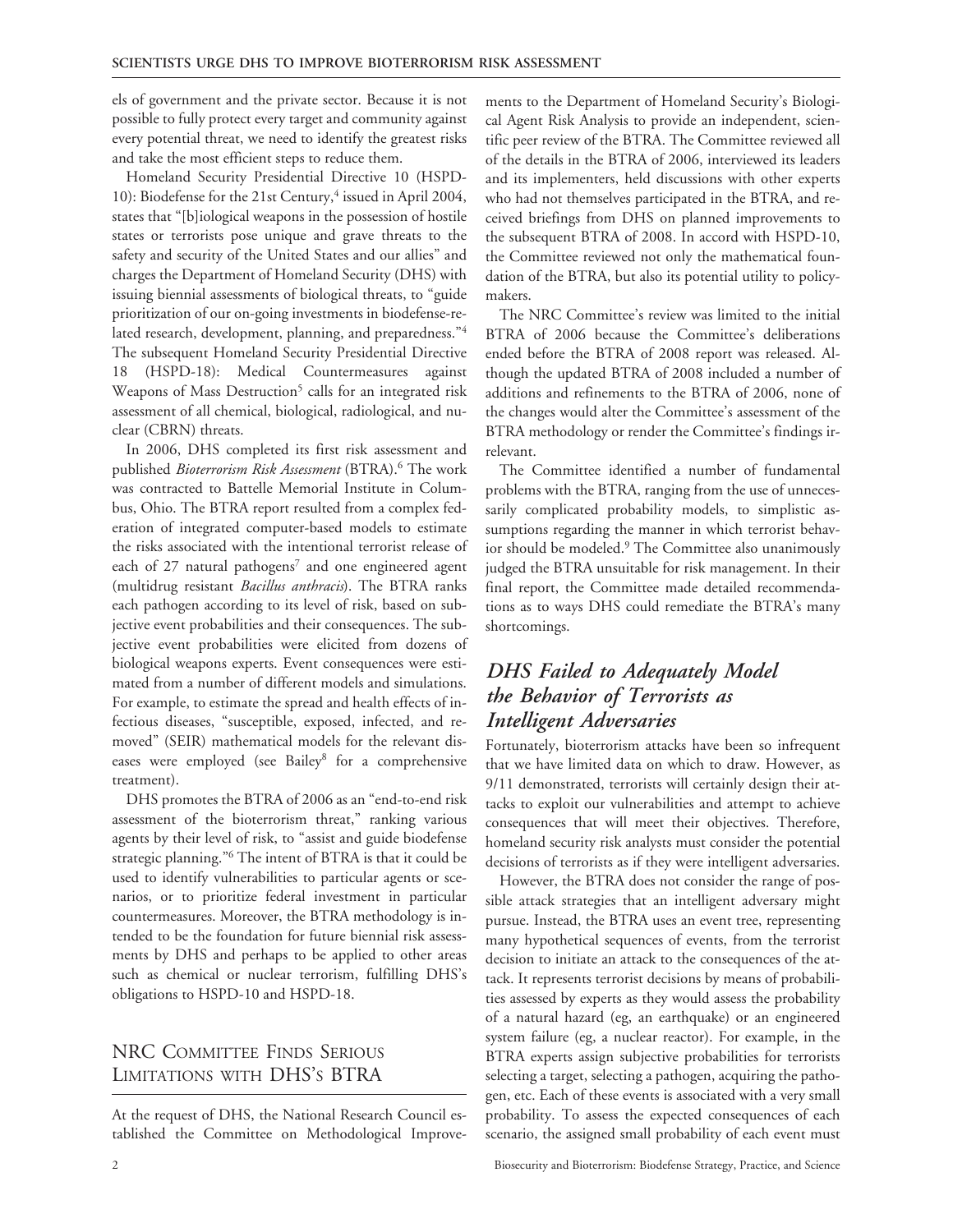els of government and the private sector. Because it is not possible to fully protect every target and community against every potential threat, we need to identify the greatest risks and take the most efficient steps to reduce them.

Homeland Security Presidential Directive 10 (HSPD-10): Biodefense for the 21st Century,<sup>4</sup> issued in April 2004, states that "[b]iological weapons in the possession of hostile states or terrorists pose unique and grave threats to the safety and security of the United States and our allies" and charges the Department of Homeland Security (DHS) with issuing biennial assessments of biological threats, to "guide prioritization of our on-going investments in biodefense-related research, development, planning, and preparedness."4 The subsequent Homeland Security Presidential Directive 18 (HSPD-18): Medical Countermeasures against Weapons of Mass Destruction<sup>5</sup> calls for an integrated risk assessment of all chemical, biological, radiological, and nuclear (CBRN) threats.

In 2006, DHS completed its first risk assessment and published *Bioterrorism Risk Assessment* (BTRA).6 The work was contracted to Battelle Memorial Institute in Columbus, Ohio. The BTRA report resulted from a complex federation of integrated computer-based models to estimate the risks associated with the intentional terrorist release of each of 27 natural pathogens<sup>7</sup> and one engineered agent (multidrug resistant *Bacillus anthracis*). The BTRA ranks each pathogen according to its level of risk, based on subjective event probabilities and their consequences. The subjective event probabilities were elicited from dozens of biological weapons experts. Event consequences were estimated from a number of different models and simulations. For example, to estimate the spread and health effects of infectious diseases, "susceptible, exposed, infected, and removed" (SEIR) mathematical models for the relevant diseases were employed (see Bailey<sup>8</sup> for a comprehensive treatment).

DHS promotes the BTRA of 2006 as an "end-to-end risk assessment of the bioterrorism threat," ranking various agents by their level of risk, to "assist and guide biodefense strategic planning."6 The intent of BTRA is that it could be used to identify vulnerabilities to particular agents or scenarios, or to prioritize federal investment in particular countermeasures. Moreover, the BTRA methodology is intended to be the foundation for future biennial risk assessments by DHS and perhaps to be applied to other areas such as chemical or nuclear terrorism, fulfilling DHS's obligations to HSPD-10 and HSPD-18.

### NRC COMMITTEE FINDS SERIOUS LIMITATIONS WITH DHS'S BTRA

At the request of DHS, the National Research Council established the Committee on Methodological Improvements to the Department of Homeland Security's Biological Agent Risk Analysis to provide an independent, scientific peer review of the BTRA. The Committee reviewed all of the details in the BTRA of 2006, interviewed its leaders and its implementers, held discussions with other experts who had not themselves participated in the BTRA, and received briefings from DHS on planned improvements to the subsequent BTRA of 2008. In accord with HSPD-10, the Committee reviewed not only the mathematical foundation of the BTRA, but also its potential utility to policymakers.

The NRC Committee's review was limited to the initial BTRA of 2006 because the Committee's deliberations ended before the BTRA of 2008 report was released. Although the updated BTRA of 2008 included a number of additions and refinements to the BTRA of 2006, none of the changes would alter the Committee's assessment of the BTRA methodology or render the Committee's findings irrelevant.

The Committee identified a number of fundamental problems with the BTRA, ranging from the use of unnecessarily complicated probability models, to simplistic assumptions regarding the manner in which terrorist behavior should be modeled.<sup>9</sup> The Committee also unanimously judged the BTRA unsuitable for risk management. In their final report, the Committee made detailed recommendations as to ways DHS could remediate the BTRA's many shortcomings.

## *DHS Failed to Adequately Model the Behavior of Terrorists as Intelligent Adversaries*

Fortunately, bioterrorism attacks have been so infrequent that we have limited data on which to draw. However, as 9/11 demonstrated, terrorists will certainly design their attacks to exploit our vulnerabilities and attempt to achieve consequences that will meet their objectives. Therefore, homeland security risk analysts must consider the potential decisions of terrorists as if they were intelligent adversaries.

However, the BTRA does not consider the range of possible attack strategies that an intelligent adversary might pursue. Instead, the BTRA uses an event tree, representing many hypothetical sequences of events, from the terrorist decision to initiate an attack to the consequences of the attack. It represents terrorist decisions by means of probabilities assessed by experts as they would assess the probability of a natural hazard (eg, an earthquake) or an engineered system failure (eg, a nuclear reactor). For example, in the BTRA experts assign subjective probabilities for terrorists selecting a target, selecting a pathogen, acquiring the pathogen, etc. Each of these events is associated with a very small probability. To assess the expected consequences of each scenario, the assigned small probability of each event must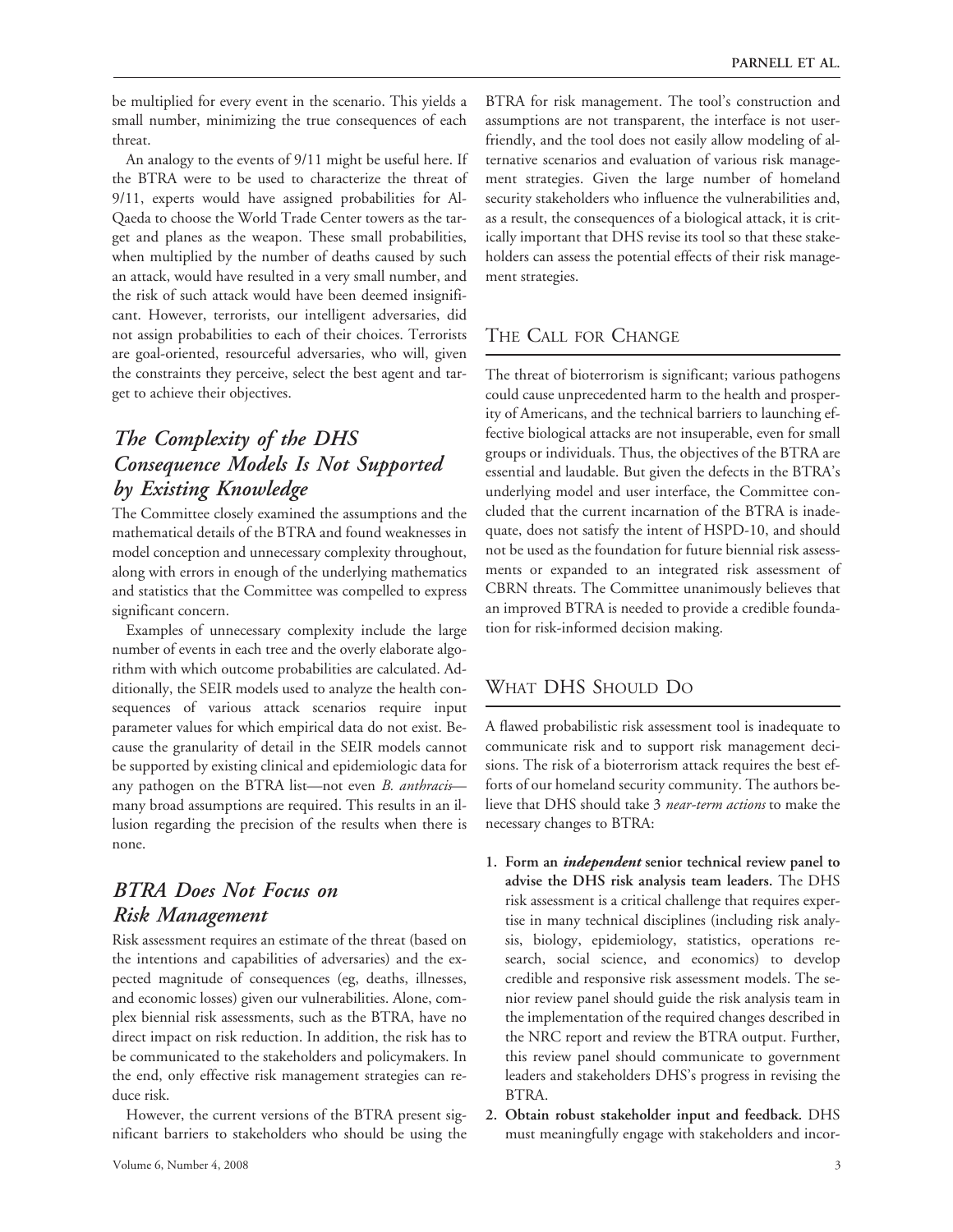be multiplied for every event in the scenario. This yields a small number, minimizing the true consequences of each threat.

An analogy to the events of 9/11 might be useful here. If the BTRA were to be used to characterize the threat of 9/11, experts would have assigned probabilities for Al-Qaeda to choose the World Trade Center towers as the target and planes as the weapon. These small probabilities, when multiplied by the number of deaths caused by such an attack, would have resulted in a very small number, and the risk of such attack would have been deemed insignificant. However, terrorists, our intelligent adversaries, did not assign probabilities to each of their choices. Terrorists are goal-oriented, resourceful adversaries, who will, given the constraints they perceive, select the best agent and target to achieve their objectives.

# *The Complexity of the DHS Consequence Models Is Not Supported by Existing Knowledge*

The Committee closely examined the assumptions and the mathematical details of the BTRA and found weaknesses in model conception and unnecessary complexity throughout, along with errors in enough of the underlying mathematics and statistics that the Committee was compelled to express significant concern.

Examples of unnecessary complexity include the large number of events in each tree and the overly elaborate algorithm with which outcome probabilities are calculated. Additionally, the SEIR models used to analyze the health consequences of various attack scenarios require input parameter values for which empirical data do not exist. Because the granularity of detail in the SEIR models cannot be supported by existing clinical and epidemiologic data for any pathogen on the BTRA list—not even *B. anthracis* many broad assumptions are required. This results in an illusion regarding the precision of the results when there is none.

# *BTRA Does Not Focus on Risk Management*

Risk assessment requires an estimate of the threat (based on the intentions and capabilities of adversaries) and the expected magnitude of consequences (eg, deaths, illnesses, and economic losses) given our vulnerabilities. Alone, complex biennial risk assessments, such as the BTRA, have no direct impact on risk reduction. In addition, the risk has to be communicated to the stakeholders and policymakers. In the end, only effective risk management strategies can reduce risk.

However, the current versions of the BTRA present significant barriers to stakeholders who should be using the BTRA for risk management. The tool's construction and assumptions are not transparent, the interface is not userfriendly, and the tool does not easily allow modeling of alternative scenarios and evaluation of various risk management strategies. Given the large number of homeland security stakeholders who influence the vulnerabilities and, as a result, the consequences of a biological attack, it is critically important that DHS revise its tool so that these stakeholders can assess the potential effects of their risk management strategies.

### THE CALL FOR CHANGE

The threat of bioterrorism is significant; various pathogens could cause unprecedented harm to the health and prosperity of Americans, and the technical barriers to launching effective biological attacks are not insuperable, even for small groups or individuals. Thus, the objectives of the BTRA are essential and laudable. But given the defects in the BTRA's underlying model and user interface, the Committee concluded that the current incarnation of the BTRA is inadequate, does not satisfy the intent of HSPD-10, and should not be used as the foundation for future biennial risk assessments or expanded to an integrated risk assessment of CBRN threats. The Committee unanimously believes that an improved BTRA is needed to provide a credible foundation for risk-informed decision making.

#### WHAT DHS SHOULD DO

A flawed probabilistic risk assessment tool is inadequate to communicate risk and to support risk management decisions. The risk of a bioterrorism attack requires the best efforts of our homeland security community. The authors believe that DHS should take 3 *near-term actions* to make the necessary changes to BTRA:

- **1. Form an** *independent* **senior technical review panel to advise the DHS risk analysis team leaders.** The DHS risk assessment is a critical challenge that requires expertise in many technical disciplines (including risk analysis, biology, epidemiology, statistics, operations research, social science, and economics) to develop credible and responsive risk assessment models. The senior review panel should guide the risk analysis team in the implementation of the required changes described in the NRC report and review the BTRA output. Further, this review panel should communicate to government leaders and stakeholders DHS's progress in revising the BTRA.
- **2. Obtain robust stakeholder input and feedback.** DHS must meaningfully engage with stakeholders and incor-